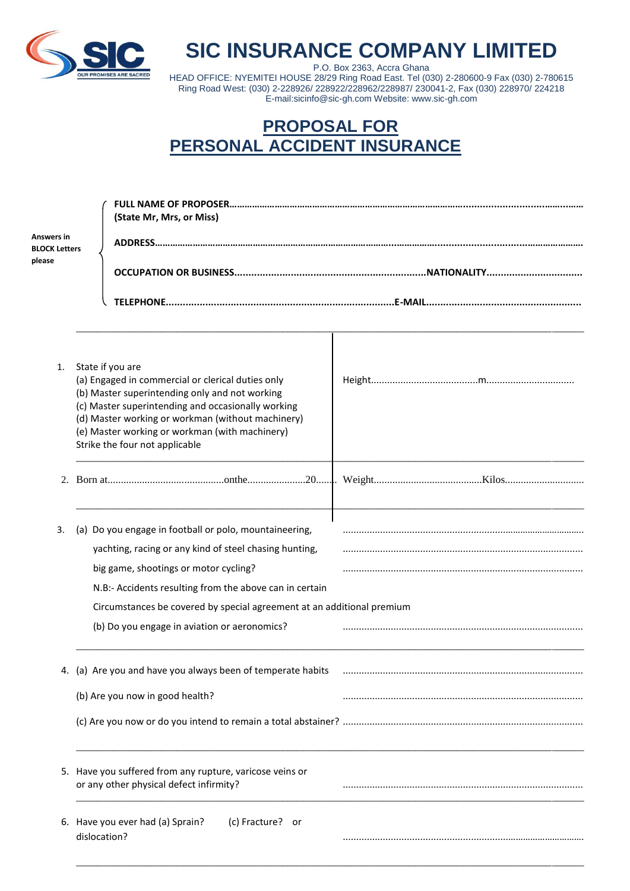

## **SIC INSURANCE COMPANY LIMITED**

P.O. Box 2363, Accra Ghana HEAD OFFICE: NYEMITEI HOUSE 28/29 Ring Road East. Tel (030) 2-280600-9 Fax (030) 2-780615 Ring Road West: (030) 2-228926/ 228922/228962/228987/ 230041-2, Fax (030) 228970/ 224218 E-mail:sicinfo@sic-gh.com Website: www.sic-gh.com

## **PROPOSAL FOR PERSONAL ACCIDENT INSURANCE**

| <b>Answers in</b><br><b>BLOCK Letters</b><br>please | (State Mr, Mrs, or Miss)                                                                                                                                                      |  |  |  |  |
|-----------------------------------------------------|-------------------------------------------------------------------------------------------------------------------------------------------------------------------------------|--|--|--|--|
|                                                     |                                                                                                                                                                               |  |  |  |  |
| 1.                                                  | State if you are<br>(a) Engaged in commercial or clerical duties only<br>(b) Master superintending only and not working<br>(c) Master superintending and occasionally working |  |  |  |  |
|                                                     | (d) Master working or workman (without machinery)<br>(e) Master working or workman (with machinery)<br>Strike the four not applicable                                         |  |  |  |  |
|                                                     |                                                                                                                                                                               |  |  |  |  |
| 3.                                                  | (a) Do you engage in football or polo, mountaineering,                                                                                                                        |  |  |  |  |
|                                                     | yachting, racing or any kind of steel chasing hunting,                                                                                                                        |  |  |  |  |
|                                                     | big game, shootings or motor cycling?                                                                                                                                         |  |  |  |  |
|                                                     | N.B:- Accidents resulting from the above can in certain                                                                                                                       |  |  |  |  |
|                                                     | Circumstances be covered by special agreement at an additional premium                                                                                                        |  |  |  |  |
|                                                     | (b) Do you engage in aviation or aeronomics?                                                                                                                                  |  |  |  |  |
|                                                     | 4. (a) Are you and have you always been of temperate habits                                                                                                                   |  |  |  |  |
|                                                     | (b) Are you now in good health?                                                                                                                                               |  |  |  |  |
|                                                     |                                                                                                                                                                               |  |  |  |  |
|                                                     | 5. Have you suffered from any rupture, varicose veins or<br>or any other physical defect infirmity?                                                                           |  |  |  |  |
|                                                     | (c) Fracture? or<br>6. Have you ever had (a) Sprain?<br>dislocation?                                                                                                          |  |  |  |  |
|                                                     |                                                                                                                                                                               |  |  |  |  |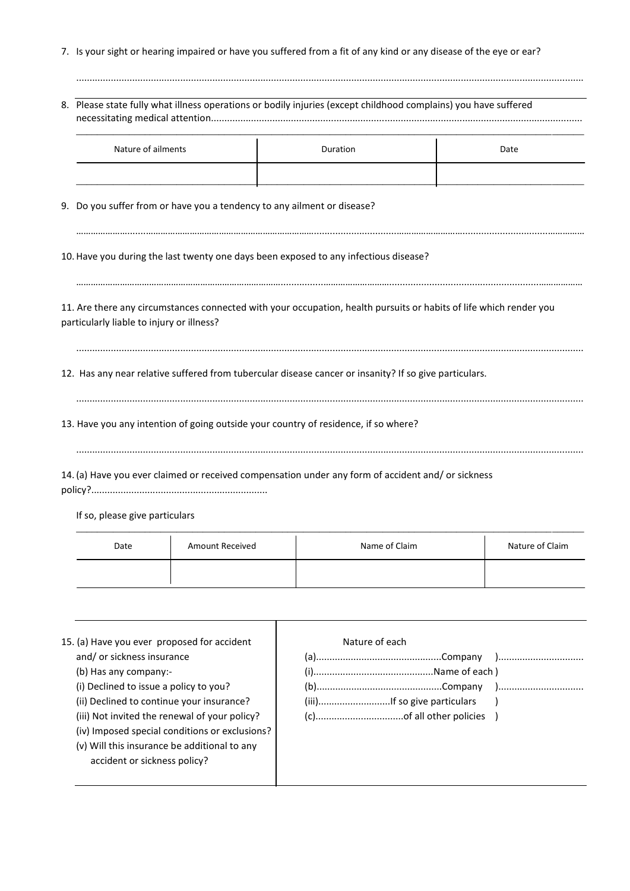7. Is your sight or hearing impaired or have you suffered from a fit of any kind or any disease of the eye or ear?

|                                                                         | 8. Please state fully what illness operations or bodily injuries (except childhood complains) you have suffered    |      |  |  |  |
|-------------------------------------------------------------------------|--------------------------------------------------------------------------------------------------------------------|------|--|--|--|
| Nature of ailments                                                      | Duration                                                                                                           | Date |  |  |  |
| 9. Do you suffer from or have you a tendency to any ailment or disease? |                                                                                                                    |      |  |  |  |
|                                                                         | 10. Have you during the last twenty one days been exposed to any infectious disease?                               |      |  |  |  |
| particularly liable to injury or illness?                               | 11. Are there any circumstances connected with your occupation, health pursuits or habits of life which render you |      |  |  |  |
|                                                                         | 12. Has any near relative suffered from tubercular disease cancer or insanity? If so give particulars.             |      |  |  |  |
|                                                                         | 13. Have you any intention of going outside your country of residence, if so where?                                |      |  |  |  |
|                                                                         | 14. (a) Have you ever claimed or received compensation under any form of accident and/ or sickness                 |      |  |  |  |

If so, please give particulars

| Date | <b>Amount Received</b> | Name of Claim | Nature of Claim |
|------|------------------------|---------------|-----------------|
|      |                        |               |                 |
|      |                        |               |                 |

| 15. (a) Have you ever proposed for accident    | Nature of each |
|------------------------------------------------|----------------|
| and/or sickness insurance                      |                |
| (b) Has any company:-                          |                |
| (i) Declined to issue a policy to you?         |                |
| (ii) Declined to continue your insurance?      |                |
| (iii) Not invited the renewal of your policy?  |                |
| (iv) Imposed special conditions or exclusions? |                |
| (v) Will this insurance be additional to any   |                |
| accident or sickness policy?                   |                |
|                                                |                |